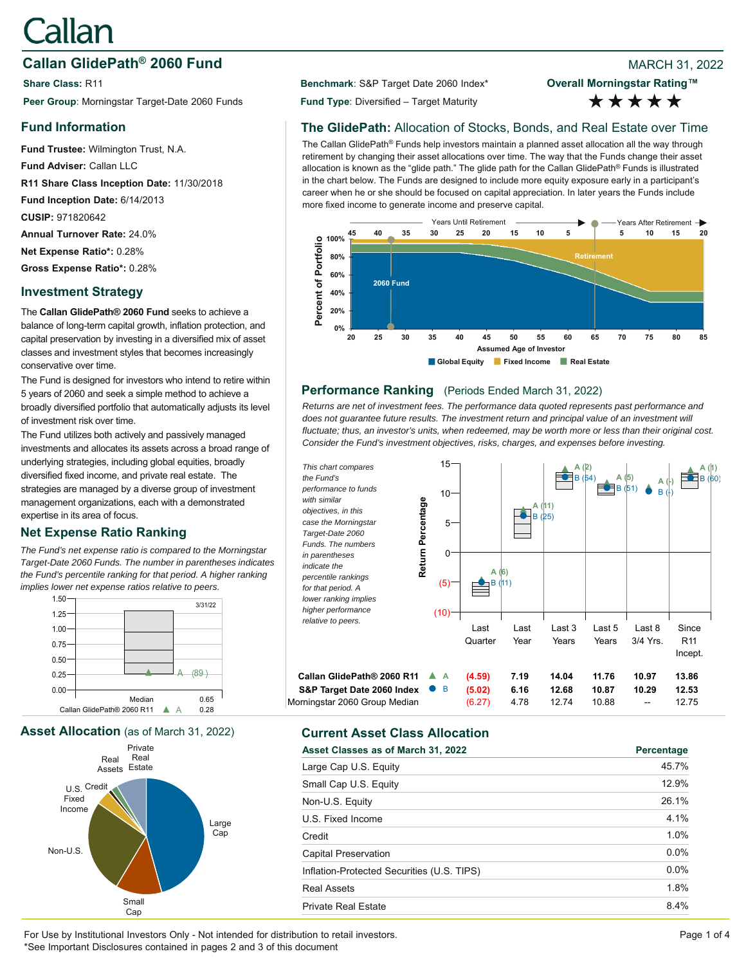# Callan

# **Callan GlidePath<sup>®</sup> 2060 Fund Branch 2002 8 2022 8 2022 8 2022 8 2022**

**Share Class:** R11 **Benchmark**: S&P Target Date 2060 Index\* **Peer Group**: Morningstar Target-Date 2060 Funds **Fund Type**: Diversified – Target Maturity

## **Fund Information**

**Fund Trustee:** Wilmington Trust, N.A. **Fund Adviser:** Callan LLC **R11 Share Class Inception Date:** 11/30/2018 **Fund Inception Date:** 6/14/2013 **CUSIP:** 971820642 **Annual Turnover Rate:** 24.0% **Net Expense Ratio\*:** 0.28% **Gross Expense Ratio\*:** 0.28%

## **Investment Strategy**

The **Callan GlidePath® 2060 Fund** seeks to achieve a balance of long-term capital growth, inflation protection, and capital preservation by investing in a diversified mix of asset classes and investment styles that becomes increasingly conservative over time.

The Fund is designed for investors who intend to retire within 5 years of 2060 and seek a simple method to achieve a broadly diversified portfolio that automatically adjusts its level of investment risk over time.

The Fund utilizes both actively and passively managed investments and allocates its assets across a broad range of underlying strategies, including global equities, broadly diversified fixed income, and private real estate. The strategies are managed by a diverse group of investment management organizations, each with a demonstrated expertise in its area of focus.

# **Net Expense Ratio Ranking**

*The Fund's net expense ratio is compared to the Morningstar Target-Date 2060 Funds. The number in parentheses indicates the Fund's percentile ranking for that period. A higher ranking implies lower net expense ratios relative to peers.*





**Overall Morningstar Rating™** \*\*\*\*\*

# **The GlidePath:** Allocation of Stocks, Bonds, and Real Estate over Time

The Callan GlidePath® Funds help investors maintain a planned asset allocation all the way through retirement by changing their asset allocations over time. The way that the Funds change their asset allocation is known as the "glide path." The glide path for the Callan GlidePath® Funds is illustrated in the chart below. The Funds are designed to include more equity exposure early in a participant's career when he or she should be focused on capital appreciation. In later years the Funds include more fixed income to generate income and preserve capital.



#### **Performance Ranking** (Periods Ended March 31, 2022)

*Returns are net of investment fees. The performance data quoted represents past performance and*  does not quarantee future results. The investment return and principal value of an investment will *fluctuate; thus, an investor's units, when redeemed, may be worth more or less than their original cost. Consider the Fund's investment objectives, risks, charges, and expenses before investing.*



# **Asset Allocation** (as of March 31, 2022) **Current Asset Class Allocation**

| Asset Classes as of March 31, 2022         | Percentage |
|--------------------------------------------|------------|
| Large Cap U.S. Equity                      | 45.7%      |
| Small Cap U.S. Equity                      | 12.9%      |
| Non-U.S. Equity                            | 26.1%      |
| U.S. Fixed Income                          | 4.1%       |
| Credit                                     | 1.0%       |
| Capital Preservation                       | $0.0\%$    |
| Inflation-Protected Securities (U.S. TIPS) | $0.0\%$    |
| <b>Real Assets</b>                         | 1.8%       |
| <b>Private Real Estate</b>                 | 8.4%       |

For Use by Institutional Investors Only - Not intended for distribution to retail investors. Page 1 of 4 \*See Important Disclosures contained in pages 2 and 3 of this document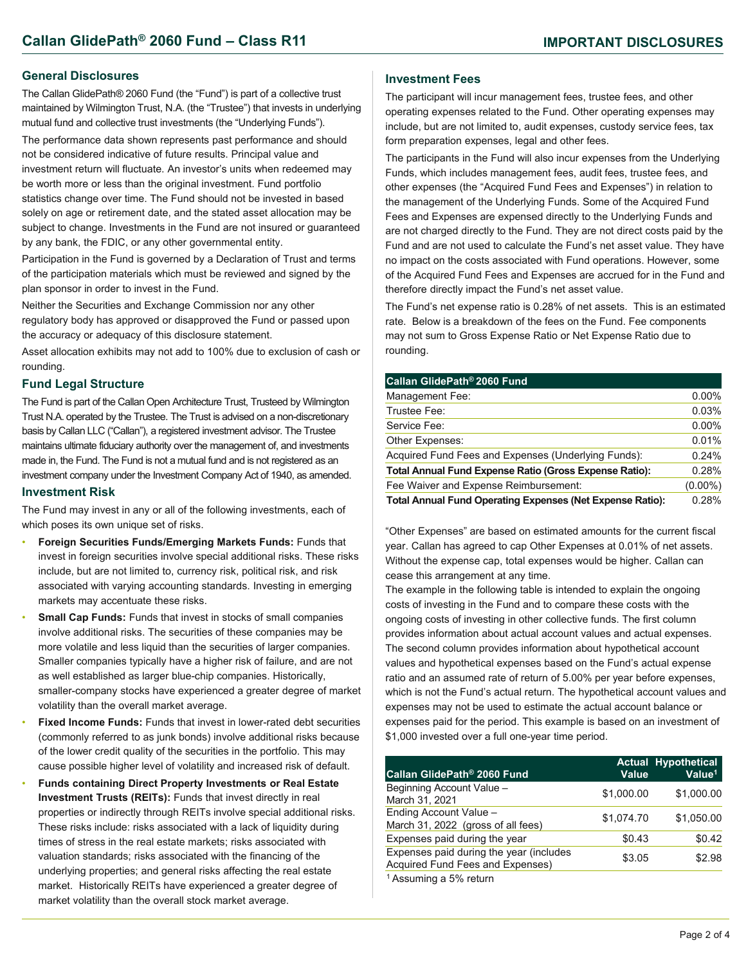#### **General Disclosures**

The Callan GlidePath® 2060 Fund (the "Fund") is part of a collective trust maintained by Wilmington Trust, N.A. (the "Trustee") that invests in underlying mutual fund and collective trust investments (the "Underlying Funds").

The performance data shown represents past performance and should not be considered indicative of future results. Principal value and investment return will fluctuate. An investor's units when redeemed may be worth more or less than the original investment. Fund portfolio statistics change over time. The Fund should not be invested in based solely on age or retirement date, and the stated asset allocation may be subject to change. Investments in the Fund are not insured or guaranteed by any bank, the FDIC, or any other governmental entity.

Participation in the Fund is governed by a Declaration of Trust and terms of the participation materials which must be reviewed and signed by the plan sponsor in order to invest in the Fund.

Neither the Securities and Exchange Commission nor any other regulatory body has approved or disapproved the Fund or passed upon the accuracy or adequacy of this disclosure statement.

Asset allocation exhibits may not add to 100% due to exclusion of cash or rounding.

#### **Fund Legal Structure**

The Fund is part of the Callan Open Architecture Trust, Trusteed by Wilmington Trust N.A. operated by the Trustee. The Trust is advised on a non-discretionary basis by Callan LLC ("Callan"), a registered investment advisor. The Trustee maintains ultimate fiduciary authority over the management of, and investments made in, the Fund. The Fund is not a mutual fund and is not registered as an investment company under the Investment Company Act of 1940, as amended.

#### **Investment Risk**

The Fund may invest in any or all of the following investments, each of which poses its own unique set of risks.

- **Foreign Securities Funds/Emerging Markets Funds:** Funds that invest in foreign securities involve special additional risks. These risks include, but are not limited to, currency risk, political risk, and risk associated with varying accounting standards. Investing in emerging markets may accentuate these risks.
- **Small Cap Funds: Funds that invest in stocks of small companies** involve additional risks. The securities of these companies may be more volatile and less liquid than the securities of larger companies. Smaller companies typically have a higher risk of failure, and are not as well established as larger blue-chip companies. Historically, smaller-company stocks have experienced a greater degree of market volatility than the overall market average.
- **Fixed Income Funds:** Funds that invest in lower-rated debt securities (commonly referred to as junk bonds) involve additional risks because of the lower credit quality of the securities in the portfolio. This may cause possible higher level of volatility and increased risk of default.
- **Funds containing Direct Property Investments or Real Estate Investment Trusts (REITs):** Funds that invest directly in real properties or indirectly through REITs involve special additional risks. These risks include: risks associated with a lack of liquidity during times of stress in the real estate markets; risks associated with valuation standards; risks associated with the financing of the underlying properties; and general risks affecting the real estate market. Historically REITs have experienced a greater degree of market volatility than the overall stock market average.

#### **Investment Fees**

The participant will incur management fees, trustee fees, and other operating expenses related to the Fund. Other operating expenses may include, but are not limited to, audit expenses, custody service fees, tax form preparation expenses, legal and other fees.

The participants in the Fund will also incur expenses from the Underlying Funds, which includes management fees, audit fees, trustee fees, and other expenses (the "Acquired Fund Fees and Expenses") in relation to the management of the Underlying Funds. Some of the Acquired Fund Fees and Expenses are expensed directly to the Underlying Funds and are not charged directly to the Fund. They are not direct costs paid by the Fund and are not used to calculate the Fund's net asset value. They have no impact on the costs associated with Fund operations. However, some of the Acquired Fund Fees and Expenses are accrued for in the Fund and therefore directly impact the Fund's net asset value.

The Fund's net expense ratio is 0.28% of net assets. This is an estimated rate. Below is a breakdown of the fees on the Fund. Fee components may not sum to Gross Expense Ratio or Net Expense Ratio due to rounding.

| Callan GlidePath® 2060 Fund                                      |            |
|------------------------------------------------------------------|------------|
| Management Fee:                                                  | $0.00\%$   |
| Trustee Fee:                                                     | 0.03%      |
| Service Fee:                                                     | $0.00\%$   |
| Other Expenses:                                                  | 0.01%      |
| Acquired Fund Fees and Expenses (Underlying Funds):              | 0.24%      |
| Total Annual Fund Expense Ratio (Gross Expense Ratio):           | 0.28%      |
| Fee Waiver and Expense Reimbursement:                            | $(0.00\%)$ |
| <b>Total Annual Fund Operating Expenses (Net Expense Ratio):</b> | 0.28%      |

"Other Expenses" are based on estimated amounts for the current fiscal year. Callan has agreed to cap Other Expenses at 0.01% of net assets. Without the expense cap, total expenses would be higher. Callan can cease this arrangement at any time.

The example in the following table is intended to explain the ongoing costs of investing in the Fund and to compare these costs with the ongoing costs of investing in other collective funds. The first column provides information about actual account values and actual expenses. The second column provides information about hypothetical account values and hypothetical expenses based on the Fund's actual expense ratio and an assumed rate of return of 5.00% per year before expenses, which is not the Fund's actual return. The hypothetical account values and expenses may not be used to estimate the actual account balance or expenses paid for the period. This example is based on an investment of \$1,000 invested over a full one-year time period.

| Callan GlidePath <sup>®</sup> 2060 Fund                                     | Value      | <b>Actual Hypothetical</b><br>Value <sup>1</sup> |
|-----------------------------------------------------------------------------|------------|--------------------------------------------------|
| Beginning Account Value -<br>March 31, 2021                                 | \$1,000.00 | \$1,000.00                                       |
| Ending Account Value -<br>March 31, 2022 (gross of all fees)                | \$1.074.70 | \$1.050.00                                       |
| Expenses paid during the year                                               | \$0.43     | \$0.42                                           |
| Expenses paid during the year (includes<br>Acquired Fund Fees and Expenses) | \$3.05     | \$2.98                                           |
| <sup>1</sup> Assuming a 5% return                                           |            |                                                  |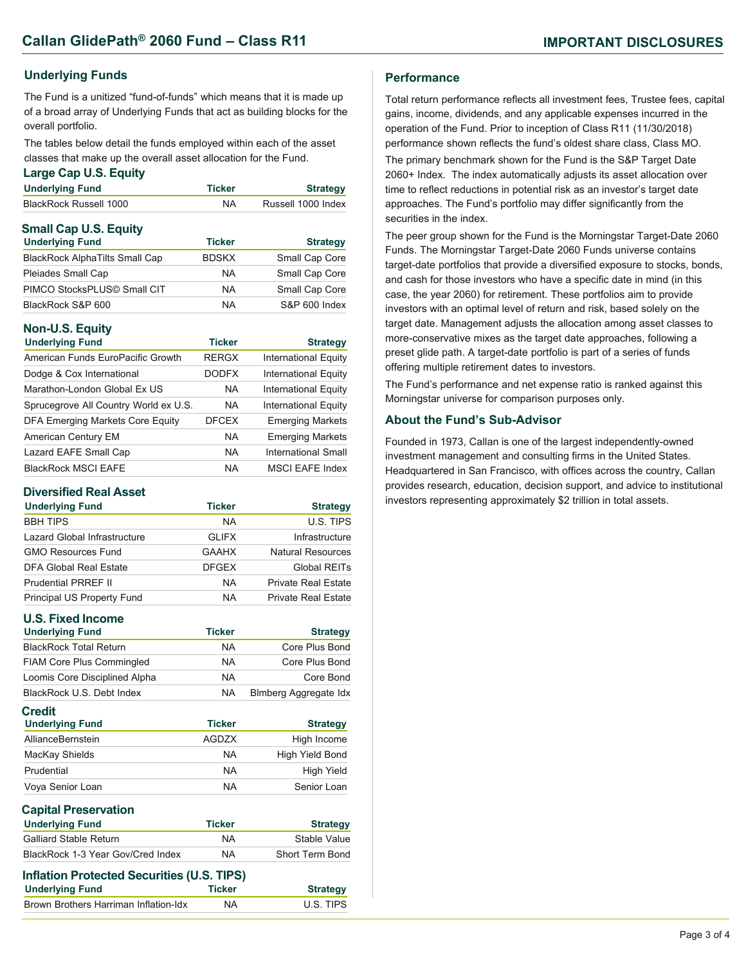#### **Underlying Funds**

The Fund is a unitized "fund-of-funds" which means that it is made up of a broad array of Underlying Funds that act as building blocks for the overall portfolio.

The tables below detail the funds employed within each of the asset classes that make up the overall asset allocation for the Fund.

#### **Large Cap U.S. Equity**

| <b>Underlying Fund</b>                 | <b>Ticker</b> | <b>Strategy</b>    |
|----------------------------------------|---------------|--------------------|
| BlackRock Russell 1000                 | NA            | Russell 1000 Index |
| <b>Small Cap U.S. Equity</b>           |               |                    |
| <b>Underlying Fund</b>                 | <b>Ticker</b> | <b>Strategy</b>    |
| <b>Rlock Dock AlphaTilte Small Cap</b> | <b>DDCKY</b>  | Small Cap Caro     |

| <b>BlackRock AlphaTilts Small Cap</b> | <b>BDSKX</b> | Small Cap Core |
|---------------------------------------|--------------|----------------|
| Pleiades Small Cap                    | <b>NA</b>    | Small Cap Core |
| PIMCO StocksPLUS© Small CIT           | <b>NA</b>    | Small Cap Core |
| BlackRock S&P 600                     | <b>NA</b>    | S&P 600 Index  |

#### **Non-U.S. Equity**

| <b>Underlying Fund</b>                  | <b>Ticker</b> | <b>Strategy</b>             |
|-----------------------------------------|---------------|-----------------------------|
| American Funds EuroPacific Growth       | <b>RERGX</b>  | <b>International Equity</b> |
| Dodge & Cox International               | <b>DODFX</b>  | <b>International Equity</b> |
| Marathon-London Global Ex US            | <b>NA</b>     | <b>International Equity</b> |
| Sprucegrove All Country World ex U.S.   | <b>NA</b>     | <b>International Equity</b> |
| <b>DFA Emerging Markets Core Equity</b> | <b>DFCEX</b>  | <b>Emerging Markets</b>     |
| American Century EM                     | <b>NA</b>     | <b>Emerging Markets</b>     |
| Lazard EAFE Small Cap                   | <b>NA</b>     | International Small         |
| <b>BlackRock MSCI EAFE</b>              | NA            | <b>MSCI EAFE Index</b>      |

#### **Diversified Real Asset**

| <b>Underlying Fund</b>       | <b>Ticker</b> | <b>Strategy</b>            |
|------------------------------|---------------|----------------------------|
| <b>BBH TIPS</b>              | <b>NA</b>     | U.S. TIPS                  |
| Lazard Global Infrastructure | <b>GLIFX</b>  | Infrastructure             |
| <b>GMO Resources Fund</b>    | <b>GAAHX</b>  | <b>Natural Resources</b>   |
| DFA Global Real Estate       | <b>DFGEX</b>  | Global REITs               |
| <b>Prudential PRREF II</b>   | <b>NA</b>     | <b>Private Real Estate</b> |
| Principal US Property Fund   | <b>NA</b>     | Private Real Estate        |

#### **U.S. Fixed Income**

| <b>U.S. Fixed Income</b>                   |               |                              |
|--------------------------------------------|---------------|------------------------------|
| <b>Underlying Fund</b>                     | <b>Ticker</b> | <b>Strategy</b>              |
| <b>BlackRock Total Return</b>              | <b>NA</b>     | Core Plus Bond               |
| <b>FIAM Core Plus Commingled</b>           | <b>NA</b>     | Core Plus Bond               |
| Loomis Core Disciplined Alpha              | <b>NA</b>     | Core Bond                    |
| BlackRock U.S. Debt Index                  | <b>NA</b>     | <b>Blmberg Aggregate Idx</b> |
| <b>Credit</b><br><b>Underlying Fund</b>    | <b>Ticker</b> | <b>Strategy</b>              |
| AllianceBernstein                          | <b>AGDZX</b>  | High Income                  |
| MacKay Shields                             | <b>NA</b>     | High Yield Bond              |
| Prudential                                 | <b>NA</b>     | High Yield                   |
| Voya Senior Loan                           | <b>NA</b>     | Senior Loan                  |
| <b>Capital Preservation</b>                |               |                              |
| <b>Underlying Fund</b>                     | <b>Ticker</b> | <b>Strategy</b>              |
| <b>Galliard Stable Return</b>              | <b>NA</b>     | Stable Value                 |
| BlackRock 1-3 Year Gov/Cred Index          | <b>NA</b>     | Short Term Bond              |
| Inflation Protected Securities (U.S. TIPS) |               |                              |
| <b>Underlying Fund</b>                     | <b>Ticker</b> | <b>Strategy</b>              |
| Brown Brothers Harriman Inflation-Idx      | <b>NA</b>     | U.S. TIPS                    |

#### **Performance**

Total return performance reflects all investment fees, Trustee fees, capital gains, income, dividends, and any applicable expenses incurred in the operation of the Fund. Prior to inception of Class R11 (11/30/2018) performance shown reflects the fund's oldest share class, Class MO. The primary benchmark shown for the Fund is the S&P Target Date 2060+ Index. The index automatically adjusts its asset allocation over time to reflect reductions in potential risk as an investor's target date approaches. The Fund's portfolio may differ significantly from the securities in the index.

The peer group shown for the Fund is the Morningstar Target-Date 2060 Funds. The Morningstar Target-Date 2060 Funds universe contains target-date portfolios that provide a diversified exposure to stocks, bonds, and cash for those investors who have a specific date in mind (in this case, the year 2060) for retirement. These portfolios aim to provide investors with an optimal level of return and risk, based solely on the target date. Management adjusts the allocation among asset classes to more-conservative mixes as the target date approaches, following a preset glide path. A target-date portfolio is part of a series of funds offering multiple retirement dates to investors.

The Fund's performance and net expense ratio is ranked against this Morningstar universe for comparison purposes only.

#### **About the Fund's Sub-Advisor**

Founded in 1973, Callan is one of the largest independently-owned investment management and consulting firms in the United States. Headquartered in San Francisco, with offices across the country, Callan provides research, education, decision support, and advice to institutional investors representing approximately \$2 trillion in total assets.